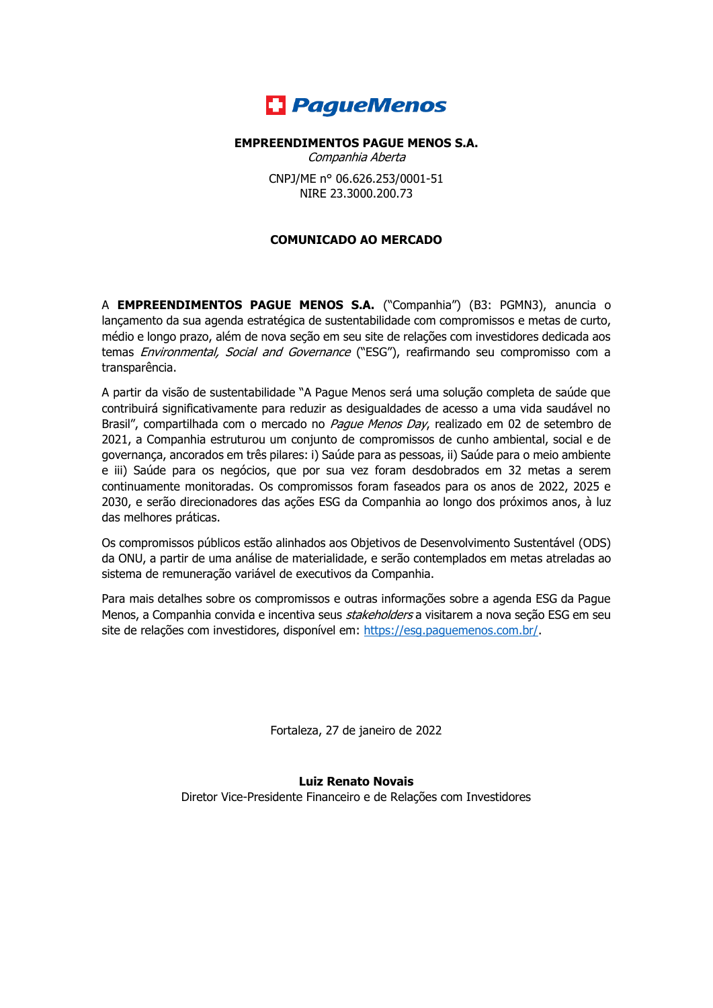

## **EMPREENDIMENTOS PAGUE MENOS S.A.**

Companhia Aberta CNPJ/ME n° 06.626.253/0001-51

NIRE 23.3000.200.73

## **COMUNICADO AO MERCADO**

A **EMPREENDIMENTOS PAGUE MENOS S.A.** ("Companhia") (B3: PGMN3), anuncia o lançamento da sua agenda estratégica de sustentabilidade com compromissos e metas de curto, médio e longo prazo, além de nova seção em seu site de relações com investidores dedicada aos temas *Environmental, Social and Governance* ("ESG"), reafirmando seu compromisso com a transparência.

A partir da visão de sustentabilidade "A Pague Menos será uma solução completa de saúde que contribuirá significativamente para reduzir as desigualdades de acesso a uma vida saudável no Brasil", compartilhada com o mercado no Pague Menos Day, realizado em 02 de setembro de 2021, a Companhia estruturou um conjunto de compromissos de cunho ambiental, social e de governança, ancorados em três pilares: i) Saúde para as pessoas, ii) Saúde para o meio ambiente e iii) Saúde para os negócios, que por sua vez foram desdobrados em 32 metas a serem continuamente monitoradas. Os compromissos foram faseados para os anos de 2022, 2025 e 2030, e serão direcionadores das ações ESG da Companhia ao longo dos próximos anos, à luz das melhores práticas.

Os compromissos públicos estão alinhados aos Objetivos de Desenvolvimento Sustentável (ODS) da ONU, a partir de uma análise de materialidade, e serão contemplados em metas atreladas ao sistema de remuneração variável de executivos da Companhia.

Para mais detalhes sobre os compromissos e outras informações sobre a agenda ESG da Pague Menos, a Companhia convida e incentiva seus *stakeholders* a visitarem a nova seção ESG em seu site de relações com investidores, disponível em: https://esq.paquemenos.com.br/.

Fortaleza, 27 de janeiro de 2022

**Luiz Renato Novais** Diretor Vice-Presidente Financeiro e de Relações com Investidores